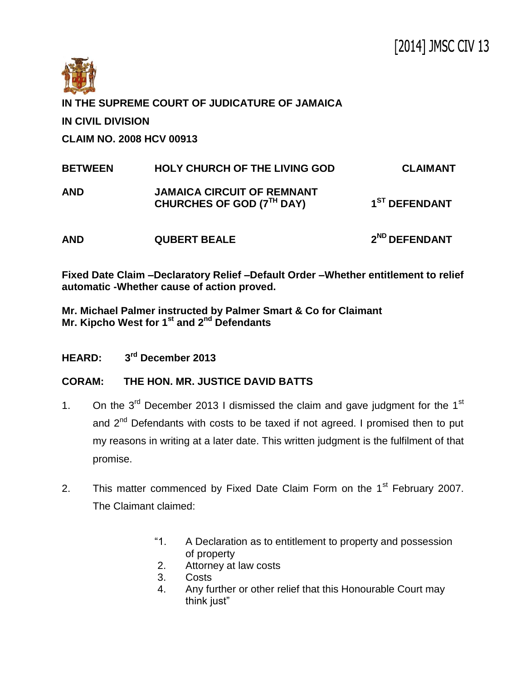

**IN THE SUPREME COURT OF JUDICATURE OF JAMAICA IN CIVIL DIVISION CLAIM NO. 2008 HCV 00913**

| <b>BETWEEN</b> | <b>HOLY CHURCH OF THE LIVING GOD</b>                           | <b>CLAIMANT</b>           |
|----------------|----------------------------------------------------------------|---------------------------|
| <b>AND</b>     | <b>JAMAICA CIRCUIT OF REMNANT</b><br>CHURCHES OF GOD (7TH DAY) | 1 <sup>ST</sup> DEFENDANT |
| <b>AND</b>     | <b>QUBERT BEALE</b>                                            | 2 <sup>ND</sup> DEFENDANT |

**Fixed Date Claim –Declaratory Relief –Default Order –Whether entitlement to relief automatic -Whether cause of action proved.**

**Mr. Michael Palmer instructed by Palmer Smart & Co for Claimant Mr. Kipcho West for 1st and 2nd Defendants**

**HEARD: 3 rd December 2013**

## **CORAM: THE HON. MR. JUSTICE DAVID BATTS**

- 1. On the  $3<sup>rd</sup>$  December 2013 I dismissed the claim and gave judgment for the 1<sup>st</sup> and  $2<sup>nd</sup>$  Defendants with costs to be taxed if not agreed. I promised then to put my reasons in writing at a later date. This written judgment is the fulfilment of that promise.
- 2. This matter commenced by Fixed Date Claim Form on the  $1<sup>st</sup>$  February 2007. The Claimant claimed:
	- "1. A Declaration as to entitlement to property and possession of property
	- 2. Attorney at law costs
	- 3. Costs
	- 4. Any further or other relief that this Honourable Court may think just"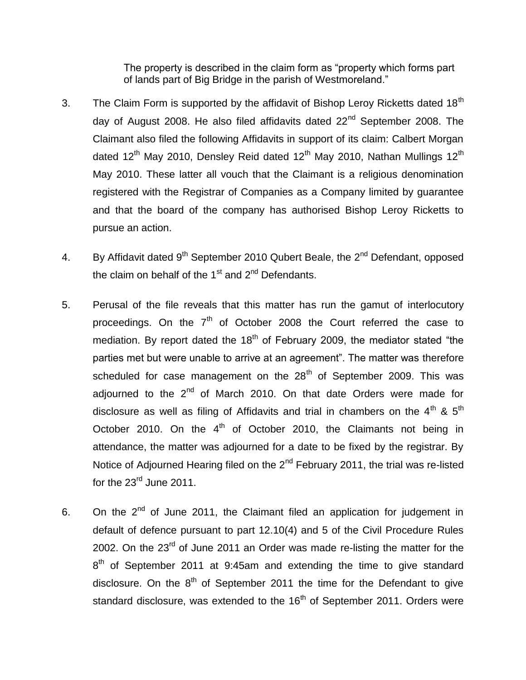The property is described in the claim form as "property which forms part of lands part of Big Bridge in the parish of Westmoreland."

- 3. The Claim Form is supported by the affidavit of Bishop Leroy Ricketts dated 18<sup>th</sup> day of August 2008. He also filed affidavits dated  $22<sup>nd</sup>$  September 2008. The Claimant also filed the following Affidavits in support of its claim: Calbert Morgan dated  $12^{th}$  May 2010, Densley Reid dated  $12^{th}$  May 2010, Nathan Mullings  $12^{th}$ May 2010. These latter all vouch that the Claimant is a religious denomination registered with the Registrar of Companies as a Company limited by guarantee and that the board of the company has authorised Bishop Leroy Ricketts to pursue an action.
- 4. By Affidavit dated  $9^{th}$  September 2010 Qubert Beale, the  $2^{nd}$  Defendant, opposed the claim on behalf of the  $1<sup>st</sup>$  and  $2<sup>nd</sup>$  Defendants.
- 5. Perusal of the file reveals that this matter has run the gamut of interlocutory proceedings. On the  $7<sup>th</sup>$  of October 2008 the Court referred the case to mediation. By report dated the  $18<sup>th</sup>$  of February 2009, the mediator stated "the parties met but were unable to arrive at an agreement". The matter was therefore scheduled for case management on the  $28<sup>th</sup>$  of September 2009. This was adjourned to the  $2^{nd}$  of March 2010. On that date Orders were made for disclosure as well as filing of Affidavits and trial in chambers on the  $4^{th}$  &  $5^{th}$ October 2010. On the  $4<sup>th</sup>$  of October 2010, the Claimants not being in attendance, the matter was adjourned for a date to be fixed by the registrar. By Notice of Adjourned Hearing filed on the  $2<sup>nd</sup>$  February 2011, the trial was re-listed for the  $23<sup>rd</sup>$  June 2011.
- 6. On the  $2^{nd}$  of June 2011, the Claimant filed an application for judgement in default of defence pursuant to part 12.10(4) and 5 of the Civil Procedure Rules 2002. On the 23<sup>rd</sup> of June 2011 an Order was made re-listing the matter for the  $8<sup>th</sup>$  of September 2011 at 9:45am and extending the time to give standard disclosure. On the  $8<sup>th</sup>$  of September 2011 the time for the Defendant to give standard disclosure, was extended to the 16<sup>th</sup> of September 2011. Orders were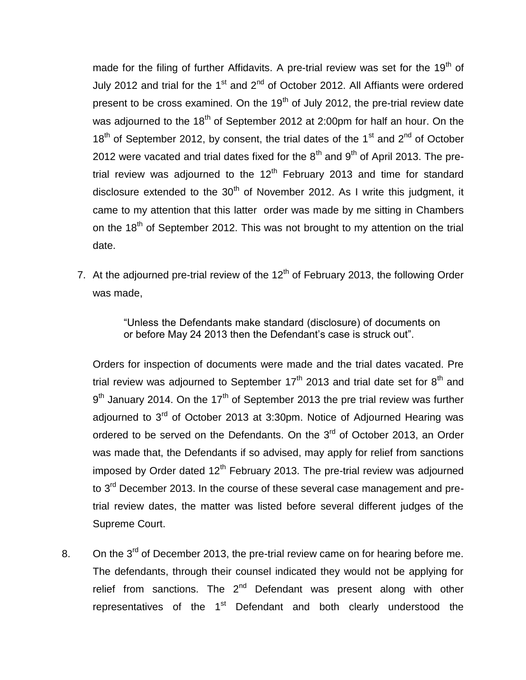made for the filing of further Affidavits. A pre-trial review was set for the  $19<sup>th</sup>$  of July 2012 and trial for the 1 $s$ <sup>t</sup> and 2<sup>nd</sup> of October 2012. All Affiants were ordered present to be cross examined. On the  $19<sup>th</sup>$  of July 2012, the pre-trial review date was adjourned to the  $18<sup>th</sup>$  of September 2012 at 2:00pm for half an hour. On the  $18<sup>th</sup>$  of September 2012, by consent, the trial dates of the 1<sup>st</sup> and 2<sup>nd</sup> of October 2012 were vacated and trial dates fixed for the  $8<sup>th</sup>$  and  $9<sup>th</sup>$  of April 2013. The pretrial review was adjourned to the  $12<sup>th</sup>$  February 2013 and time for standard disclosure extended to the  $30<sup>th</sup>$  of November 2012. As I write this judgment, it came to my attention that this latter order was made by me sitting in Chambers on the  $18<sup>th</sup>$  of September 2012. This was not brought to my attention on the trial date.

7. At the adjourned pre-trial review of the  $12<sup>th</sup>$  of February 2013, the following Order was made,

> "Unless the Defendants make standard (disclosure) of documents on or before May 24 2013 then the Defendant's case is struck out".

Orders for inspection of documents were made and the trial dates vacated. Pre trial review was adjourned to September  $17<sup>th</sup>$  2013 and trial date set for  $8<sup>th</sup>$  and  $9<sup>th</sup>$  January 2014. On the 17<sup>th</sup> of September 2013 the pre trial review was further adjourned to 3<sup>rd</sup> of October 2013 at 3:30pm. Notice of Adjourned Hearing was ordered to be served on the Defendants. On the  $3<sup>rd</sup>$  of October 2013, an Order was made that, the Defendants if so advised, may apply for relief from sanctions imposed by Order dated  $12<sup>th</sup>$  February 2013. The pre-trial review was adjourned to 3<sup>rd</sup> December 2013. In the course of these several case management and pretrial review dates, the matter was listed before several different judges of the Supreme Court.

8. On the 3<sup>rd</sup> of December 2013, the pre-trial review came on for hearing before me. The defendants, through their counsel indicated they would not be applying for relief from sanctions. The  $2^{nd}$  Defendant was present along with other representatives of the  $1<sup>st</sup>$  Defendant and both clearly understood the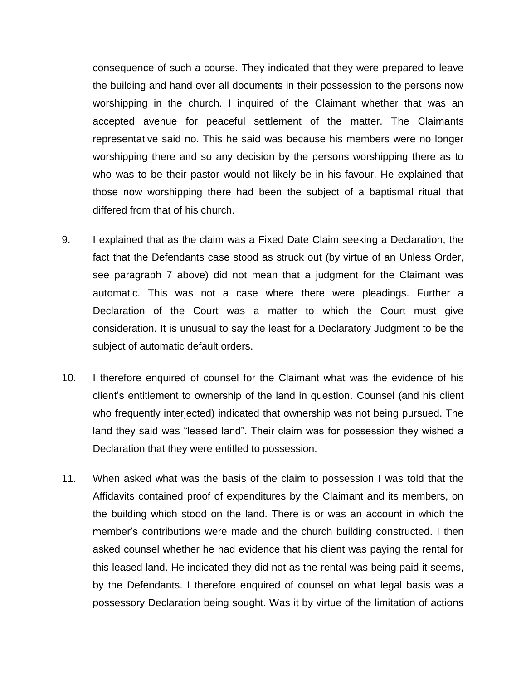consequence of such a course. They indicated that they were prepared to leave the building and hand over all documents in their possession to the persons now worshipping in the church. I inquired of the Claimant whether that was an accepted avenue for peaceful settlement of the matter. The Claimants representative said no. This he said was because his members were no longer worshipping there and so any decision by the persons worshipping there as to who was to be their pastor would not likely be in his favour. He explained that those now worshipping there had been the subject of a baptismal ritual that differed from that of his church.

- 9. I explained that as the claim was a Fixed Date Claim seeking a Declaration, the fact that the Defendants case stood as struck out (by virtue of an Unless Order, see paragraph 7 above) did not mean that a judgment for the Claimant was automatic. This was not a case where there were pleadings. Further a Declaration of the Court was a matter to which the Court must give consideration. It is unusual to say the least for a Declaratory Judgment to be the subject of automatic default orders.
- 10. I therefore enquired of counsel for the Claimant what was the evidence of his client's entitlement to ownership of the land in question. Counsel (and his client who frequently interjected) indicated that ownership was not being pursued. The land they said was "leased land". Their claim was for possession they wished a Declaration that they were entitled to possession.
- 11. When asked what was the basis of the claim to possession I was told that the Affidavits contained proof of expenditures by the Claimant and its members, on the building which stood on the land. There is or was an account in which the member's contributions were made and the church building constructed. I then asked counsel whether he had evidence that his client was paying the rental for this leased land. He indicated they did not as the rental was being paid it seems, by the Defendants. I therefore enquired of counsel on what legal basis was a possessory Declaration being sought. Was it by virtue of the limitation of actions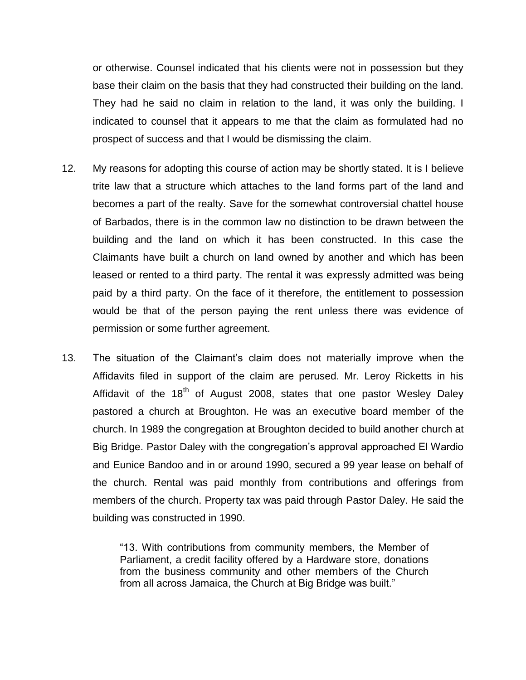or otherwise. Counsel indicated that his clients were not in possession but they base their claim on the basis that they had constructed their building on the land. They had he said no claim in relation to the land, it was only the building. I indicated to counsel that it appears to me that the claim as formulated had no prospect of success and that I would be dismissing the claim.

- 12. My reasons for adopting this course of action may be shortly stated. It is I believe trite law that a structure which attaches to the land forms part of the land and becomes a part of the realty. Save for the somewhat controversial chattel house of Barbados, there is in the common law no distinction to be drawn between the building and the land on which it has been constructed. In this case the Claimants have built a church on land owned by another and which has been leased or rented to a third party. The rental it was expressly admitted was being paid by a third party. On the face of it therefore, the entitlement to possession would be that of the person paying the rent unless there was evidence of permission or some further agreement.
- 13. The situation of the Claimant's claim does not materially improve when the Affidavits filed in support of the claim are perused. Mr. Leroy Ricketts in his Affidavit of the 18<sup>th</sup> of August 2008, states that one pastor Wesley Daley pastored a church at Broughton. He was an executive board member of the church. In 1989 the congregation at Broughton decided to build another church at Big Bridge. Pastor Daley with the congregation's approval approached El Wardio and Eunice Bandoo and in or around 1990, secured a 99 year lease on behalf of the church. Rental was paid monthly from contributions and offerings from members of the church. Property tax was paid through Pastor Daley. He said the building was constructed in 1990.

"13. With contributions from community members, the Member of Parliament, a credit facility offered by a Hardware store, donations from the business community and other members of the Church from all across Jamaica, the Church at Big Bridge was built."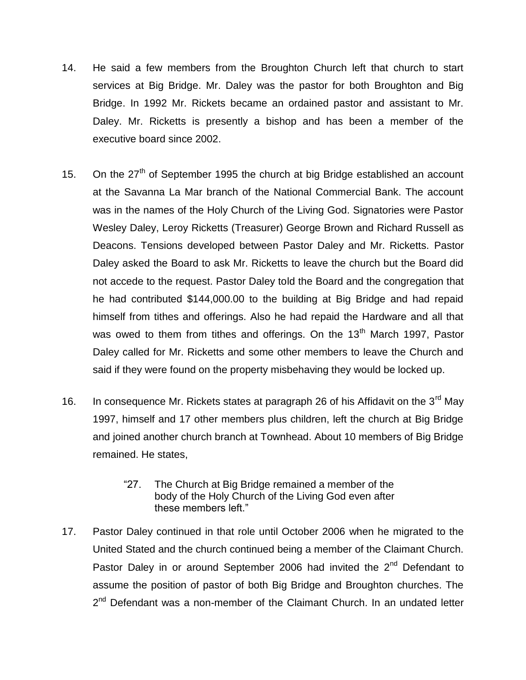- 14. He said a few members from the Broughton Church left that church to start services at Big Bridge. Mr. Daley was the pastor for both Broughton and Big Bridge. In 1992 Mr. Rickets became an ordained pastor and assistant to Mr. Daley. Mr. Ricketts is presently a bishop and has been a member of the executive board since 2002.
- 15. On the  $27<sup>th</sup>$  of September 1995 the church at big Bridge established an account at the Savanna La Mar branch of the National Commercial Bank. The account was in the names of the Holy Church of the Living God. Signatories were Pastor Wesley Daley, Leroy Ricketts (Treasurer) George Brown and Richard Russell as Deacons. Tensions developed between Pastor Daley and Mr. Ricketts. Pastor Daley asked the Board to ask Mr. Ricketts to leave the church but the Board did not accede to the request. Pastor Daley told the Board and the congregation that he had contributed \$144,000.00 to the building at Big Bridge and had repaid himself from tithes and offerings. Also he had repaid the Hardware and all that was owed to them from tithes and offerings. On the 13<sup>th</sup> March 1997, Pastor Daley called for Mr. Ricketts and some other members to leave the Church and said if they were found on the property misbehaving they would be locked up.
- 16. In consequence Mr. Rickets states at paragraph 26 of his Affidavit on the 3<sup>rd</sup> May 1997, himself and 17 other members plus children, left the church at Big Bridge and joined another church branch at Townhead. About 10 members of Big Bridge remained. He states,
	- "27. The Church at Big Bridge remained a member of the body of the Holy Church of the Living God even after these members left."
- 17. Pastor Daley continued in that role until October 2006 when he migrated to the United Stated and the church continued being a member of the Claimant Church. Pastor Daley in or around September 2006 had invited the  $2^{nd}$  Defendant to assume the position of pastor of both Big Bridge and Broughton churches. The 2<sup>nd</sup> Defendant was a non-member of the Claimant Church. In an undated letter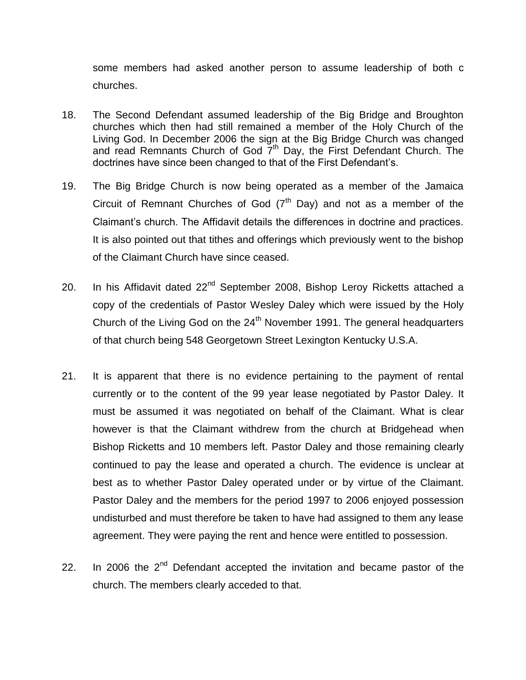some members had asked another person to assume leadership of both c churches.

- 18. The Second Defendant assumed leadership of the Big Bridge and Broughton churches which then had still remained a member of the Holy Church of the Living God. In December 2006 the sign at the Big Bridge Church was changed and read Remnants Church of God  $\overline{7}^{\text{th}}$  Day, the First Defendant Church. The doctrines have since been changed to that of the First Defendant's.
- 19. The Big Bridge Church is now being operated as a member of the Jamaica Circuit of Remnant Churches of God  $(7<sup>th</sup>$  Day) and not as a member of the Claimant's church. The Affidavit details the differences in doctrine and practices. It is also pointed out that tithes and offerings which previously went to the bishop of the Claimant Church have since ceased.
- 20. In his Affidavit dated  $22<sup>nd</sup>$  September 2008, Bishop Leroy Ricketts attached a copy of the credentials of Pastor Wesley Daley which were issued by the Holy Church of the Living God on the  $24<sup>th</sup>$  November 1991. The general headquarters of that church being 548 Georgetown Street Lexington Kentucky U.S.A.
- 21. It is apparent that there is no evidence pertaining to the payment of rental currently or to the content of the 99 year lease negotiated by Pastor Daley. It must be assumed it was negotiated on behalf of the Claimant. What is clear however is that the Claimant withdrew from the church at Bridgehead when Bishop Ricketts and 10 members left. Pastor Daley and those remaining clearly continued to pay the lease and operated a church. The evidence is unclear at best as to whether Pastor Daley operated under or by virtue of the Claimant. Pastor Daley and the members for the period 1997 to 2006 enjoyed possession undisturbed and must therefore be taken to have had assigned to them any lease agreement. They were paying the rent and hence were entitled to possession.
- 22. In 2006 the  $2<sup>nd</sup>$  Defendant accepted the invitation and became pastor of the church. The members clearly acceded to that.